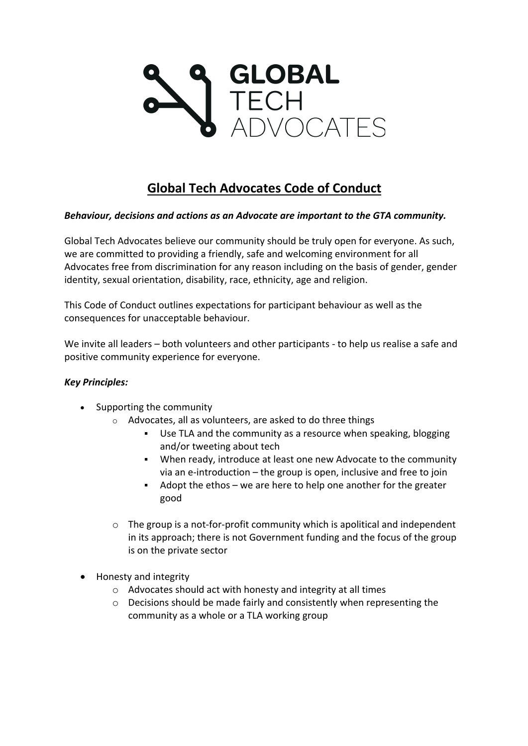

# **Global Tech Advocates Code of Conduct**

# *Behaviour, decisions and actions as an Advocate are important to the GTA community.*

Global Tech Advocates believe our community should be truly open for everyone. As such, we are committed to providing a friendly, safe and welcoming environment for all Advocates free from discrimination for any reason including on the basis of gender, gender identity, sexual orientation, disability, race, ethnicity, age and religion.

This Code of Conduct outlines expectations for participant behaviour as well as the consequences for unacceptable behaviour.

We invite all leaders – both volunteers and other participants - to help us realise a safe and positive community experience for everyone.

#### *Key Principles:*

- Supporting the community
	- o Advocates, all as volunteers, are asked to do three things
		- § Use TLA and the community as a resource when speaking, blogging and/or tweeting about tech
		- When ready, introduce at least one new Advocate to the community via an e-introduction – the group is open, inclusive and free to join
		- Adopt the ethos we are here to help one another for the greater good
	- $\circ$  The group is a not-for-profit community which is apolitical and independent in its approach; there is not Government funding and the focus of the group is on the private sector
- Honesty and integrity
	- o Advocates should act with honesty and integrity at all times
	- o Decisions should be made fairly and consistently when representing the community as a whole or a TLA working group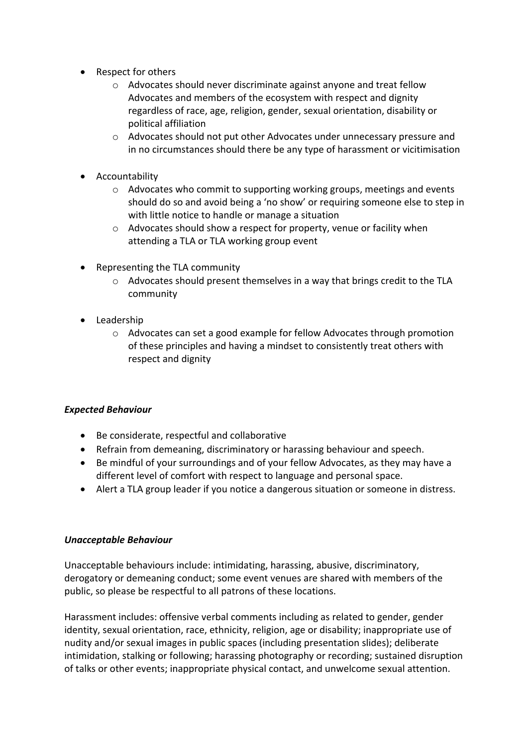- Respect for others
	- o Advocates should never discriminate against anyone and treat fellow Advocates and members of the ecosystem with respect and dignity regardless of race, age, religion, gender, sexual orientation, disability or political affiliation
	- o Advocates should not put other Advocates under unnecessary pressure and in no circumstances should there be any type of harassment or vicitimisation
- Accountability
	- $\circ$  Advocates who commit to supporting working groups, meetings and events should do so and avoid being a 'no show' or requiring someone else to step in with little notice to handle or manage a situation
	- o Advocates should show a respect for property, venue or facility when attending a TLA or TLA working group event
- Representing the TLA community
	- $\circ$  Advocates should present themselves in a way that brings credit to the TLA community
- Leadership
	- o Advocates can set a good example for fellow Advocates through promotion of these principles and having a mindset to consistently treat others with respect and dignity

#### *Expected Behaviour*

- Be considerate, respectful and collaborative
- Refrain from demeaning, discriminatory or harassing behaviour and speech.
- Be mindful of your surroundings and of your fellow Advocates, as they may have a different level of comfort with respect to language and personal space.
- Alert a TLA group leader if you notice a dangerous situation or someone in distress.

#### *Unacceptable Behaviour*

Unacceptable behaviours include: intimidating, harassing, abusive, discriminatory, derogatory or demeaning conduct; some event venues are shared with members of the public, so please be respectful to all patrons of these locations.

Harassment includes: offensive verbal comments including as related to gender, gender identity, sexual orientation, race, ethnicity, religion, age or disability; inappropriate use of nudity and/or sexual images in public spaces (including presentation slides); deliberate intimidation, stalking or following; harassing photography or recording; sustained disruption of talks or other events; inappropriate physical contact, and unwelcome sexual attention.